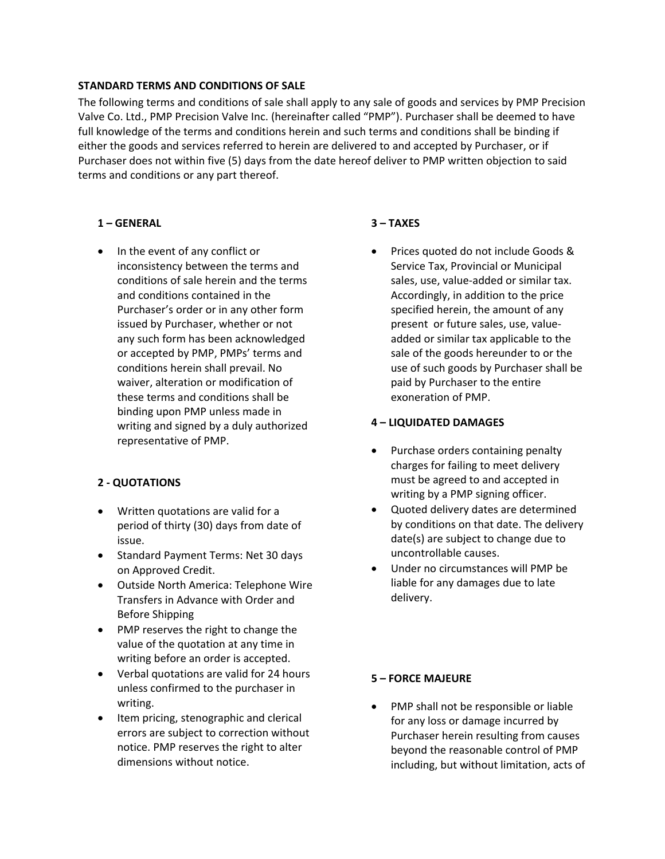### **STANDARD TERMS AND CONDITIONS OF SALE**

The following terms and conditions of sale shall apply to any sale of goods and services by PMP Precision Valve Co. Ltd., PMP Precision Valve Inc. (hereinafter called "PMP"). Purchaser shall be deemed to have full knowledge of the terms and conditions herein and such terms and conditions shall be binding if either the goods and services referred to herein are delivered to and accepted by Purchaser, or if Purchaser does not within five (5) days from the date hereof deliver to PMP written objection to said terms and conditions or any part thereof.

# **1 – GENERAL**

• In the event of any conflict or inconsistency between the terms and conditions of sale herein and the terms and conditions contained in the Purchaser's order or in any other form issued by Purchaser, whether or not any such form has been acknowledged or accepted by PMP, PMPs' terms and conditions herein shall prevail. No waiver, alteration or modification of these terms and conditions shall be binding upon PMP unless made in writing and signed by a duly authorized representative of PMP.

# **2 ‐ QUOTATIONS**

- Written quotations are valid for a period of thirty (30) days from date of issue.
- Standard Payment Terms: Net 30 days on Approved Credit.
- Outside North America: Telephone Wire Transfers in Advance with Order and Before Shipping
- PMP reserves the right to change the value of the quotation at any time in writing before an order is accepted.
- Verbal quotations are valid for 24 hours unless confirmed to the purchaser in writing.
- Item pricing, stenographic and clerical errors are subject to correction without notice. PMP reserves the right to alter dimensions without notice.

# **3 – TAXES**

 Prices quoted do not include Goods & Service Tax, Provincial or Municipal sales, use, value‐added or similar tax. Accordingly, in addition to the price specified herein, the amount of any present or future sales, use, value‐ added or similar tax applicable to the sale of the goods hereunder to or the use of such goods by Purchaser shall be paid by Purchaser to the entire exoneration of PMP.

### **4 – LIQUIDATED DAMAGES**

- Purchase orders containing penalty charges for failing to meet delivery must be agreed to and accepted in writing by a PMP signing officer.
- Quoted delivery dates are determined by conditions on that date. The delivery date(s) are subject to change due to uncontrollable causes.
- Under no circumstances will PMP be liable for any damages due to late delivery.

#### **5 – FORCE MAJEURE**

 PMP shall not be responsible or liable for any loss or damage incurred by Purchaser herein resulting from causes beyond the reasonable control of PMP including, but without limitation, acts of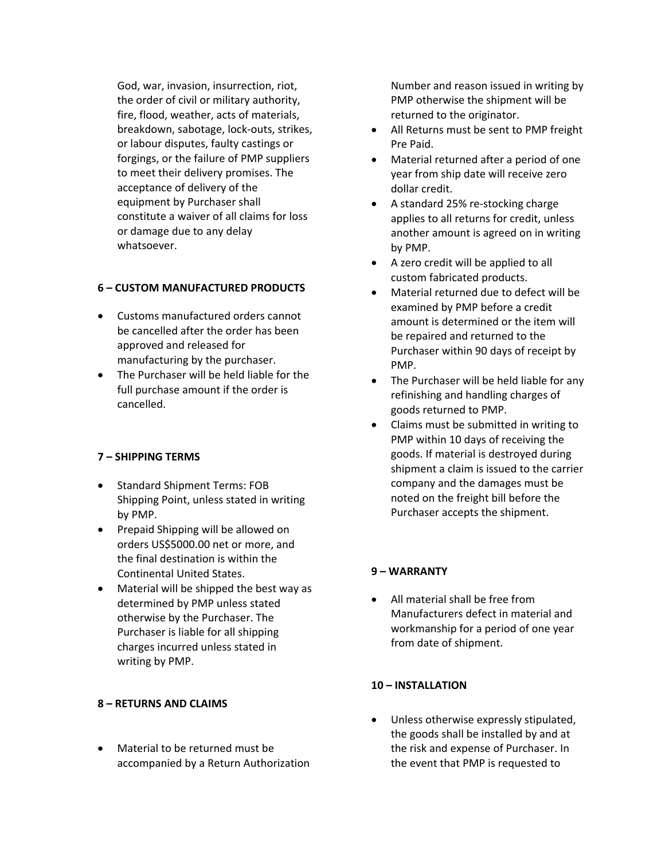God, war, invasion, insurrection, riot, the order of civil or military authority, fire, flood, weather, acts of materials, breakdown, sabotage, lock‐outs, strikes, or labour disputes, faulty castings or forgings, or the failure of PMP suppliers to meet their delivery promises. The acceptance of delivery of the equipment by Purchaser shall constitute a waiver of all claims for loss or damage due to any delay whatsoever.

# **6 – CUSTOM MANUFACTURED PRODUCTS**

- Customs manufactured orders cannot be cancelled after the order has been approved and released for manufacturing by the purchaser.
- The Purchaser will be held liable for the full purchase amount if the order is cancelled.

# **7 – SHIPPING TERMS**

- Standard Shipment Terms: FOB Shipping Point, unless stated in writing by PMP.
- Prepaid Shipping will be allowed on orders US\$5000.00 net or more, and the final destination is within the Continental United States.
- Material will be shipped the best way as determined by PMP unless stated otherwise by the Purchaser. The Purchaser is liable for all shipping charges incurred unless stated in writing by PMP.

# **8 – RETURNS AND CLAIMS**

 Material to be returned must be accompanied by a Return Authorization Number and reason issued in writing by PMP otherwise the shipment will be returned to the originator.

- All Returns must be sent to PMP freight Pre Paid.
- Material returned after a period of one year from ship date will receive zero dollar credit.
- A standard 25% re‐stocking charge applies to all returns for credit, unless another amount is agreed on in writing by PMP.
- A zero credit will be applied to all custom fabricated products.
- Material returned due to defect will be examined by PMP before a credit amount is determined or the item will be repaired and returned to the Purchaser within 90 days of receipt by PMP.
- The Purchaser will be held liable for any refinishing and handling charges of goods returned to PMP.
- Claims must be submitted in writing to PMP within 10 days of receiving the goods. If material is destroyed during shipment a claim is issued to the carrier company and the damages must be noted on the freight bill before the Purchaser accepts the shipment.

### **9 – WARRANTY**

 All material shall be free from Manufacturers defect in material and workmanship for a period of one year from date of shipment.

### **10 – INSTALLATION**

 Unless otherwise expressly stipulated, the goods shall be installed by and at the risk and expense of Purchaser. In the event that PMP is requested to